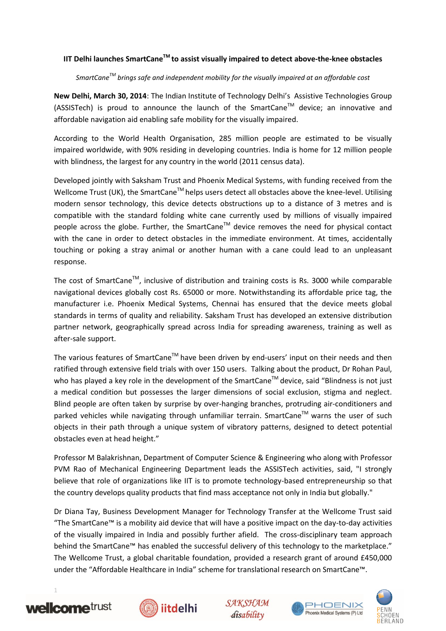### **IIT Delhi launches SmartCaneTM to assist visually impaired to detect above-the-knee obstacles**

### *SmartCaneTM brings safe and independent mobility for the visually impaired at an affordable cost*

**New Delhi, March 30, 2014**: The Indian Institute of Technology Delhi's Assistive Technologies Group  $(ASSISTech)$  is proud to announce the launch of the SmartCane<sup>TM</sup> device; an innovative and affordable navigation aid enabling safe mobility for the visually impaired.

According to the World Health Organisation, 285 million people are estimated to be visually impaired worldwide, with 90% residing in developing countries. India is home for 12 million people with blindness, the largest for any country in the world (2011 census data).

Developed jointly with Saksham Trust and Phoenix Medical Systems, with funding received from the Wellcome Trust (UK), the SmartCane<sup>TM</sup> helps users detect all obstacles above the knee-level. Utilising modern sensor technology, this device detects obstructions up to a distance of 3 metres and is compatible with the standard folding white cane currently used by millions of visually impaired people across the globe. Further, the SmartCane™ device removes the need for physical contact with the cane in order to detect obstacles in the immediate environment. At times, accidentally touching or poking a stray animal or another human with a cane could lead to an unpleasant response.

The cost of SmartCane<sup>TM</sup>, inclusive of distribution and training costs is Rs. 3000 while comparable navigational devices globally cost Rs. 65000 or more. Notwithstanding its affordable price tag, the manufacturer i.e. Phoenix Medical Systems, Chennai has ensured that the device meets global standards in terms of quality and reliability. Saksham Trust has developed an extensive distribution partner network, geographically spread across India for spreading awareness, training as well as after-sale support.

The various features of SmartCane™ have been driven by end-users' input on their needs and then ratified through extensive field trials with over 150 users. Talking about the product, Dr Rohan Paul, who has played a key role in the development of the SmartCane™ device, said "Blindness is not just a medical condition but possesses the larger dimensions of social exclusion, stigma and neglect. Blind people are often taken by surprise by over-hanging branches, protruding air-conditioners and parked vehicles while navigating through unfamiliar terrain. SmartCane™ warns the user of such objects in their path through a unique system of vibratory patterns, designed to detect potential obstacles even at head height."

Professor M Balakrishnan, Department of Computer Science & Engineering who along with Professor PVM Rao of Mechanical Engineering Department leads the ASSISTech activities, said, "I strongly believe that role of organizations like IIT is to promote technology-based entrepreneurship so that the country develops quality products that find mass acceptance not only in India but globally."

Dr Diana Tay, Business Development Manager for Technology Transfer at the Wellcome Trust said "The SmartCane™ is a mobility aid device that will have a positive impact on the day-to-day activities of the visually impaired in India and possibly further afield. The cross-disciplinary team approach behind the SmartCane™ has enabled the successful delivery of this technology to the marketplace." The Wellcome Trust, a global charitable foundation, provided a research grant of around £450,000 under the "Affordable Healthcare in India" scheme for translational research on SmartCane™.



1







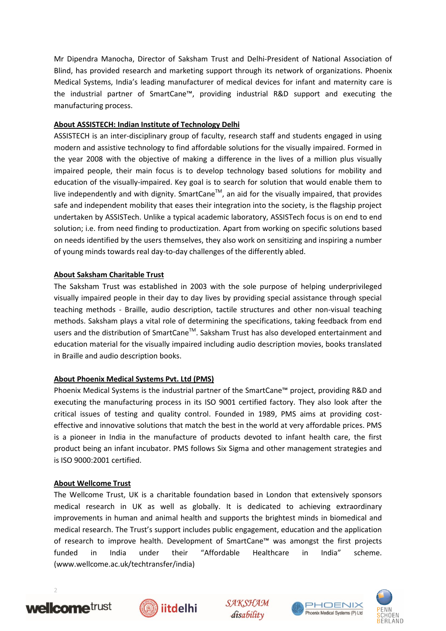Mr Dipendra Manocha, Director of Saksham Trust and Delhi-President of National Association of Blind, has provided research and marketing support through its network of organizations. Phoenix Medical Systems, India's leading manufacturer of medical devices for infant and maternity care is the industrial partner of SmartCane™, providing industrial R&D support and executing the manufacturing process.

## **About ASSISTECH: Indian Institute of Technology Delhi**

ASSISTECH is an inter-disciplinary group of faculty, research staff and students engaged in using modern and assistive technology to find affordable solutions for the visually impaired. Formed in the year 2008 with the objective of making a difference in the lives of a million plus visually impaired people, their main focus is to develop technology based solutions for mobility and education of the visually-impaired. Key goal is to search for solution that would enable them to live independently and with dignity. SmartCane<sup>™</sup>, an aid for the visually impaired, that provides safe and independent mobility that eases their integration into the society, is the flagship project undertaken by ASSISTech. Unlike a typical academic laboratory, ASSISTech focus is on end to end solution; i.e. from need finding to productization. Apart from working on specific solutions based on needs identified by the users themselves, they also work on sensitizing and inspiring a number of young minds towards real day-to-day challenges of the differently abled.

## **About Saksham Charitable Trust**

The Saksham Trust was established in 2003 with the sole purpose of helping underprivileged visually impaired people in their day to day lives by providing special assistance through special teaching methods - Braille, audio description, tactile structures and other non-visual teaching methods. Saksham plays a vital role of determining the specifications, taking feedback from end users and the distribution of SmartCane<sup>™</sup>. Saksham Trust has also developed entertainment and education material for the visually impaired including audio description movies, books translated in Braille and audio description books.

# **About Phoenix Medical Systems Pvt. Ltd (PMS)**

Phoenix Medical Systems is the industrial partner of the SmartCane™ project, providing R&D and executing the manufacturing process in its ISO 9001 certified factory. They also look after the critical issues of testing and quality control. Founded in 1989, PMS aims at providing costeffective and innovative solutions that match the best in the world at very affordable prices. PMS is a pioneer in India in the manufacture of products devoted to infant health care, the first product being an infant incubator. PMS follows Six Sigma and other management strategies and is ISO 9000:2001 certified.

### **About Wellcome Trust**

The Wellcome Trust, UK is a charitable foundation based in London that extensively sponsors medical research in UK as well as globally. It is dedicated to achieving extraordinary improvements in human and animal health and supports the brightest minds in biomedical and medical research. The Trust's support includes public engagement, education and the application of research to improve health. Development of SmartCane™ was amongst the first projects funded in India under their "Affordable Healthcare in India" scheme. (www.wellcome.ac.uk/techtransfer/india)



2